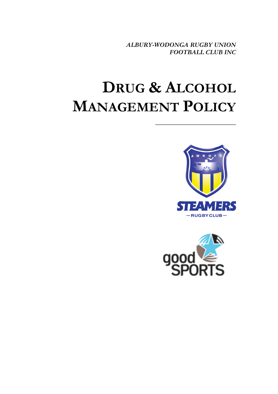*ALBURY-WODONGA RUGBY UNION FOOTBALL CLUB INC*

# **DRUG & ALCOHOL MANAGEMENT POLICY**



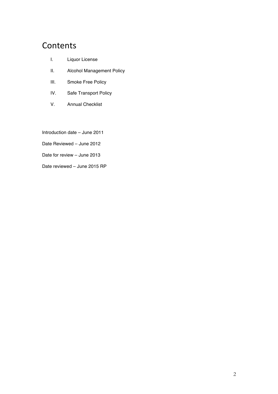# Contents

- I. Liquor License
- II. Alcohol Management Policy
- III. Smoke Free Policy
- IV. Safe Transport Policy
- V. Annual Checklist

Introduction date – June 2011

Date Reviewed – June 2012

Date for review – June 2013

Date reviewed – June 2015 RP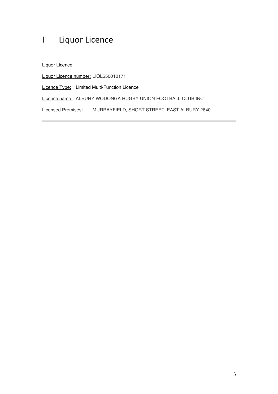# I Liquor Licence

Liquor Licence

Liquor Licence number: LIQL550010171

Licence Type: Limited Multi-Function Licence

Licence name: ALBURY WODONGA RUGBY UNION FOOTBALL CLUB INC

Licensed Premises: MURRAYFIELD, SHORT STREET, EAST ALBURY 2640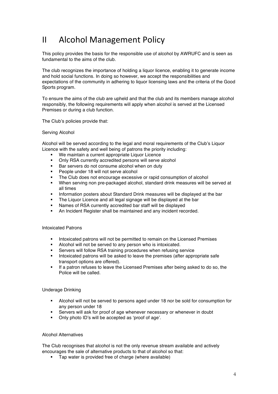# II Alcohol Management Policy

This policy provides the basis for the responsible use of alcohol by AWRUFC and is seen as fundamental to the aims of the club.

The club recognizes the importance of holding a liquor licence, enabling it to generate income and hold social functions. In doing so however, we accept the responsibilities and expectations of the community in adhering to liquor licensing laws and the criteria of the Good Sports program.

To ensure the aims of the club are upheld and that the club and its members manage alcohol responsibly, the following requirements will apply when alcohol is served at the Licensed Premises or during a club function.

The Club's policies provide that:

#### Serving Alcohol

Alcohol will be served according to the legal and moral requirements of the Club's Liquor Licence with the safety and well being of patrons the priority including:

- We maintain a current appropriate Liquor Licence
- ! Only RSA currently accredited persons will serve alcohol
- Bar servers do not consume alcohol when on duty
- People under 18 will not serve alcohol
- ! The Club does not encourage excessive or rapid consumption of alcohol
- ! When serving non pre-packaged alcohol, standard drink measures will be served at all times
- ! Information posters about Standard Drink measures will be displayed at the bar
- The Liquor Licence and all legal signage will be displayed at the bar
- Names of RSA currently accredited bar staff will be displayed
- ! An Incident Register shall be maintained and any incident recorded.

#### Intoxicated Patrons

- ! Intoxicated patrons will not be permitted to remain on the Licensed Premises
- Alcohol will not be served to any person who is intoxicated.
- Servers will follow RSA training procedures when refusing service
- ! Intoxicated patrons will be asked to leave the premises (after appropriate safe transport options are offered).
- If a patron refuses to leave the Licensed Premises after being asked to do so, the Police will be called.

#### Underage Drinking

- ! Alcohol will not be served to persons aged under 18 nor be sold for consumption for any person under 18
- Servers will ask for proof of age whenever necessary or whenever in doubt
- ! Only photo ID's will be accepted as 'proof of age'.

#### Alcohol Alternatives

The Club recognises that alcohol is not the only revenue stream available and actively encourages the sale of alternative products to that of alcohol so that:

! Tap water is provided free of charge (where available)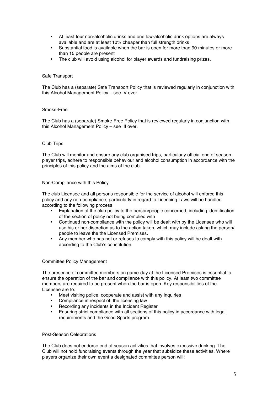- ! At least four non-alcoholic drinks and one low-alcoholic drink options are always available and are at least 10% cheaper than full strength drinks
- ! Substantial food is available when the bar is open for more than 90 minutes or more than 15 people are present
- The club will avoid using alcohol for player awards and fundraising prizes.

#### Safe Transport

The Club has a (separate) Safe Transport Policy that is reviewed regularly in conjunction with this Alcohol Management Policy – see IV over.

#### Smoke-Free

The Club has a (separate) Smoke-Free Policy that is reviewed regularly in conjunction with this Alcohol Management Policy – see III over.

#### Club Trips

The Club will monitor and ensure any club organised trips, particularly official end of season player trips, adhere to responsible behaviour and alcohol consumption in accordance with the principles of this policy and the aims of the club.

#### Non-Compliance with this Policy

The club Licensee and all persons responsible for the service of alcohol will enforce this policy and any non-compliance, particularly in regard to Licencing Laws will be handled according to the following process:

- ! Explanation of the club policy to the person/people concerned, including identification of the section of policy not being complied with
- ! Continued non-compliance with the policy will be dealt with by the Licensee who will use his or her discretion as to the action taken, which may include asking the person/ people to leave the the Licensed Premises.
- Any member who has not or refuses to comply with this policy will be dealt with according to the Club's constitution.

#### Committee Policy Management

The presence of committee members on game-day at the Licensed Premises is essential to ensure the operation of the bar and compliance with this policy. At least two committee members are required to be present when the bar is open. Key responsibilities of the Licensee are to:

- ! Meet visiting police, cooperate and assist with any inquiries
- **EXECOMPOREY COMPOSITE:** Compliance in respect of the licensing law
- Recording any incidents in the Incident Register
- ! Ensuring strict compliance with all sections of this policy in accordance with legal requirements and the Good Sports program.

#### Post-Season Celebrations

The Club does not endorse end of season activities that involves excessive drinking. The Club will not hold fundraising events through the year that subsidize these activities. Where players organize their own event a designated committee person will: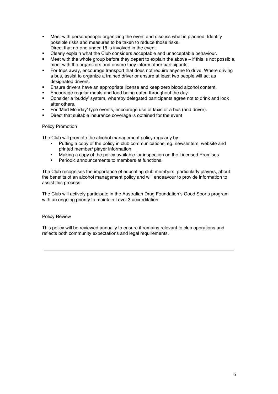- ! Meet with person/people organizing the event and discuss what is planned. Identify possible risks and measures to be taken to reduce those risks. Direct that no-one under 18 is involved in the event.
- ! Clearly explain what the Club considers acceptable and unacceptable behaviour.
- Meet with the whole group before they depart to explain the above  $-$  if this is not possible, meet with the organizers and ensure they inform other participants.
- ! For trips away, encourage transport that does not require anyone to drive. Where driving a bus, assist to organize a trained driver or ensure at least two people will act as designated drivers.
- ! Ensure drivers have an appropriate license and keep zero blood alcohol content.
- ! Encourage regular meals and food being eaten throughout the day.
- ! Consider a 'buddy' system, whereby delegated participants agree not to drink and look after others.
- ! For 'Mad Monday' type events, encourage use of taxis or a bus (and driver).
- Direct that suitable insurance coverage is obtained for the event

#### Policy Promotion

The Club will promote the alcohol management policy regularly by:

- ! Putting a copy of the policy in club communications, eg. newsletters, website and printed member/ player information
- Making a copy of the policy available for inspection on the Licensed Premises
- ! Periodic announcements to members at functions.

The Club recognises the importance of educating club members, particularly players, about the benefits of an alcohol management policy and will endeavour to provide information to assist this process.

The Club will actively participate in the Australian Drug Foundation's Good Sports program with an ongoing priority to maintain Level 3 accreditation.

#### Policy Review

This policy will be reviewed annually to ensure it remains relevant to club operations and reflects both community expectations and legal requirements.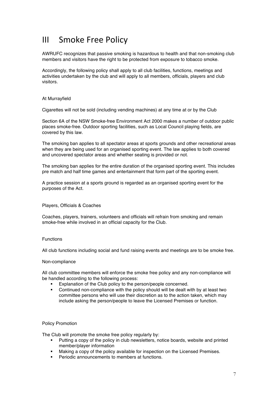### **III** Smoke Free Policy

AWRUFC recognizes that passive smoking is hazardous to health and that non-smoking club members and visitors have the right to be protected from exposure to tobacco smoke.

Accordingly, the following policy shall apply to all club facilities, functions, meetings and activities undertaken by the club and will apply to all members, officials, players and club visitors.

#### At Murrayfield

Cigarettes will not be sold (including vending machines) at any time at or by the Club

Section 6A of the NSW Smoke-free Environment Act 2000 makes a number of outdoor public places smoke-free. Outdoor sporting facilities, such as Local Council playing fields, are covered by this law.

The smoking ban applies to all spectator areas at sports grounds and other recreational areas when they are being used for an organised sporting event. The law applies to both covered and uncovered spectator areas and whether seating is provided or not.

The smoking ban applies for the entire duration of the organised sporting event. This includes pre match and half time games and entertainment that form part of the sporting event.

A practice session at a sports ground is regarded as an organised sporting event for the purposes of the Act.

#### Players, Officials & Coaches

Coaches, players, trainers, volunteers and officials will refrain from smoking and remain smoke-free while involved in an official capacity for the Club.

#### Functions

All club functions including social and fund raising events and meetings are to be smoke free.

#### Non-compliance

All club committee members will enforce the smoke free policy and any non-compliance will be handled according to the following process:

- Explanation of the Club policy to the person/people concerned.
- ! Continued non-compliance with the policy should will be dealt with by at least two committee persons who will use their discretion as to the action taken, which may include asking the person/people to leave the Licensed Premises or function.

#### Policy Promotion

The Club will promote the smoke free policy regularly by:

- ! Putting a copy of the policy in club newsletters, notice boards, website and printed member/player information
- ! Making a copy of the policy available for inspection on the Licensed Premises.
- Periodic announcements to members at functions.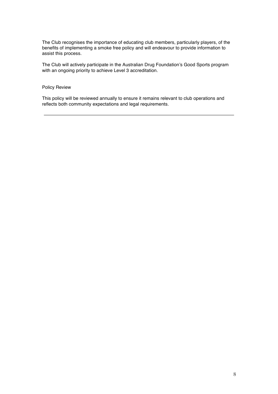The Club recognises the importance of educating club members, particularly players, of the benefits of implementing a smoke free policy and will endeavour to provide information to assist this process.

The Club will actively participate in the Australian Drug Foundation's Good Sports program with an ongoing priority to achieve Level 3 accreditation.

#### Policy Review

This policy will be reviewed annually to ensure it remains relevant to club operations and reflects both community expectations and legal requirements.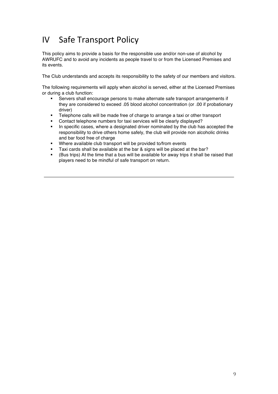# IV Safe Transport Policy

This policy aims to provide a basis for the responsible use and/or non-use of alcohol by AWRUFC and to avoid any incidents as people travel to or from the Licensed Premises and its events.

The Club understands and accepts its responsibility to the safety of our members and visitors.

The following requirements will apply when alcohol is served, either at the Licensed Premises or during a club function:

- Servers shall encourage persons to make alternate safe transport arrangements if they are considered to exceed .05 blood alcohol concentration (or .00 if probationary driver)
- ! Telephone calls will be made free of charge to arrange a taxi or other transport
- ! Contact telephone numbers for taxi services will be clearly displayed?
- ! In specific cases, where a designated driver nominated by the club has accepted the responsibility to drive others home safely, the club will provide non alcoholic drinks and bar food free of charge
- Where available club transport will be provided to/from events
- Taxi cards shall be available at the bar & signs will be placed at the bar?
- ! (Bus trips) At the time that a bus will be available for away trips it shall be raised that players need to be mindful of safe transport on return.